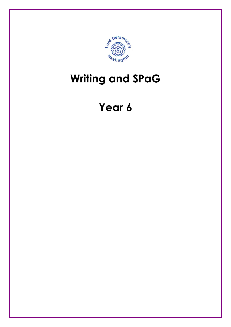

## Writing and SPaG

## Year 6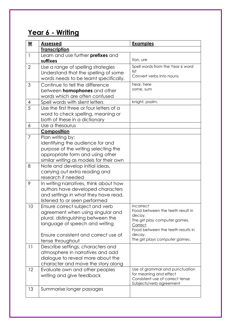## Year 6 - Writing

| $\underline{\mathsf{W}}$ | <b>Assessed</b>                                                                                                                                                                                          | <b>Examples</b>                                                                                                                                                                      |
|--------------------------|----------------------------------------------------------------------------------------------------------------------------------------------------------------------------------------------------------|--------------------------------------------------------------------------------------------------------------------------------------------------------------------------------------|
|                          | <b>Transcription</b>                                                                                                                                                                                     |                                                                                                                                                                                      |
| $\mathbf{1}$             | Learn and use further <b>prefixes</b> and<br>suffixes                                                                                                                                                    | tion, ure                                                                                                                                                                            |
| $\overline{2}$           | Use a range of spelling strategies<br>Understand that the spelling of some<br>words needs to be learnt specifically.                                                                                     | Spell words from the Year 6 word<br>list<br>Convert verbs into nouns                                                                                                                 |
| 3                        | Continue to tell the difference<br>between <b>homophones</b> and other<br>words which are often confused                                                                                                 | hear, here<br>some, sum                                                                                                                                                              |
| 4                        | Spell words with silent letters                                                                                                                                                                          | knight, psalm,                                                                                                                                                                       |
| 5                        | Use the first three or four letters of a<br>word to check spelling, meaning or<br>both of these in a dictionary                                                                                          |                                                                                                                                                                                      |
| 6                        | Use a thesaurus                                                                                                                                                                                          |                                                                                                                                                                                      |
|                          | Composition                                                                                                                                                                                              |                                                                                                                                                                                      |
| $\overline{7}$           | Plan writing by:<br>identifying the audience for and<br>purpose of the writing selecting the<br>appropriate form and using other<br>similar writing as models for their own                              |                                                                                                                                                                                      |
| 8                        | Note and develop initial ideas,<br>carrying out extra reading and<br>research if needed                                                                                                                  |                                                                                                                                                                                      |
| 9                        | In writing narratives, think about how<br>authors have developed characters<br>and settings in what they have read,<br>listened to or seen performed                                                     |                                                                                                                                                                                      |
| 10                       | Ensure correct subject and verb<br>agreement when using singular and<br>plural, distinguishing between the<br>language of speech and writing<br>Ensure consistent and correct use of<br>tense throughout | Incorrect<br>Food between the teeth result in<br>decay.<br>The girl play computer games.<br>Correct<br>Food between the teeth results in<br>decay.<br>The girl plays computer games. |
| 11                       | Describe settings, characters and<br>atmosphere in narratives and add<br>dialogue to reveal more about the<br>character and move the story along                                                         |                                                                                                                                                                                      |
| 12                       | Evaluate own and other peoples<br>writing and give feedback                                                                                                                                              | Use of grammar and punctuation<br>for meaning and effect<br>Consistent use of correct tense<br>Subjects/verb agreement                                                               |
| 13                       | Summarise longer passages                                                                                                                                                                                |                                                                                                                                                                                      |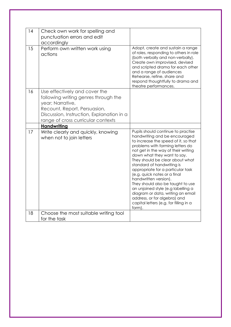| 14 | Check own work for spelling and<br>punctuation errors and edit<br>accordingly                                                                                                                                |                                                                                                                                                                                                                                                                                                                                                                                                                                                                                                                                                                                          |
|----|--------------------------------------------------------------------------------------------------------------------------------------------------------------------------------------------------------------|------------------------------------------------------------------------------------------------------------------------------------------------------------------------------------------------------------------------------------------------------------------------------------------------------------------------------------------------------------------------------------------------------------------------------------------------------------------------------------------------------------------------------------------------------------------------------------------|
| 15 | Perform own written work using<br>actions                                                                                                                                                                    | Adopt, create and sustain a range<br>of roles, responding to others in role<br>(both verbally and non-verbally).<br>Create own improvised, devised<br>and scripted drama for each other<br>and a range of audiences<br>Rehearse, refine, share and<br>respond thoughtfully to drama and<br>theatre performances.                                                                                                                                                                                                                                                                         |
| 16 | Use effectively and cover the<br>following writing genres through the<br>year; Narrative,<br>Recount, Report, Persuasion,<br>Discussion, Instruction, Explanation in a<br>range of cross curricular contexts |                                                                                                                                                                                                                                                                                                                                                                                                                                                                                                                                                                                          |
|    | <b>Handwriting</b>                                                                                                                                                                                           |                                                                                                                                                                                                                                                                                                                                                                                                                                                                                                                                                                                          |
| 17 | Write clearly and quickly, knowing<br>when not to join letters                                                                                                                                               | Pupils should continue to practise<br>handwriting and be encouraged<br>to increase the speed of it, so that<br>problems with forming letters do<br>not get in the way of their writing<br>down what they want to say.<br>They should be clear about what<br>standard of handwriting is<br>appropriate for a particular task<br>(e.g. quick notes or a final<br>handwritten version).<br>They should also be taught to use<br>an unjoined style (e.g labelling a<br>diagram or data, writing an email<br>address, or for algebra) and<br>capital letters (e.g. for filling in a<br>form). |
| 18 | Choose the most suitable writing tool<br>for the task                                                                                                                                                        |                                                                                                                                                                                                                                                                                                                                                                                                                                                                                                                                                                                          |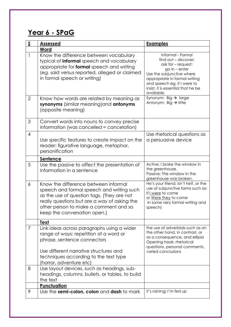## Year 6 - SPaG

| $\underline{\underline{\mathsf{S}}}$ | <b>Assessed</b>                                                                                                                                                                                                                                          | <b>Examples</b>                                                                                                                                                                                                                     |
|--------------------------------------|----------------------------------------------------------------------------------------------------------------------------------------------------------------------------------------------------------------------------------------------------------|-------------------------------------------------------------------------------------------------------------------------------------------------------------------------------------------------------------------------------------|
|                                      | Word                                                                                                                                                                                                                                                     |                                                                                                                                                                                                                                     |
| $\mathbf{1}$                         | Know the difference between vocabulary<br>typical of <i>informal</i> speech and vocabulary<br>appropriate for formal speech and writing<br>(eg. said versus reported, alleged or claimed<br>in formal speech or writing)                                 | Informal - Formal<br>find out - discover;<br>ask for - request;<br>$go in - enter$<br>Use the subjunctive where<br>appropriate in formal writing<br>and speech eg. If I were to<br>insist, it is essential that he be<br>available. |
| $\overline{2}$                       | Know how words are related by meaning as<br>synonyms (similar meaning) and antonyms<br>(opposite meaning)                                                                                                                                                | Synonym: Big $\rightarrow$ large<br>Antonym: Big $\rightarrow$ little                                                                                                                                                               |
| 3                                    | Convert words into nouns to convey precise<br>information (was cancelled = cancelation)                                                                                                                                                                  |                                                                                                                                                                                                                                     |
| 4                                    | Use specific features to create impact on the<br>reader: figurative language, metaphor,<br>personification                                                                                                                                               | Use rhetorical questions as<br>a persuasive device                                                                                                                                                                                  |
|                                      | Sentence                                                                                                                                                                                                                                                 |                                                                                                                                                                                                                                     |
| 5                                    | Use the passive to affect the presentation of<br>information in a sentence                                                                                                                                                                               | Active: I broke the window in<br>the greenhouse.<br>Passive: The window in the<br>greenhouse was broken.                                                                                                                            |
| 6                                    | Know the difference between informal<br>speech and formal speech and writing such<br>as the use of question tags, (They are not<br>really questions but are a way of asking the<br>other person to make a comment and so<br>keep the conversation open.) | He's your friend, isn't he?, or the<br>use of subjunctive forms such as:<br>If I were to come<br>or Were they to come<br>in some very formal writing and<br>speech)                                                                 |
|                                      | <b>Text</b>                                                                                                                                                                                                                                              |                                                                                                                                                                                                                                     |
| 7                                    | Link ideas across paragraphs using a wider<br>range of ways: repetition of a word or<br>phrase, sentence connectors<br>Use different narrative structures and<br>techniques according to the text type                                                   | the use of adverbials such as on<br>the other hand, in contrast, or<br>as a consequence, and ellipsis<br>Opening hook, rhetorical<br>questions, personal comments,<br>varied conclusions                                            |
|                                      | (horror, adventure etc)                                                                                                                                                                                                                                  |                                                                                                                                                                                                                                     |
| 8                                    | Use layout devices, such as headings, sub-<br>headings, columns, bullets, or tables, to build<br>the text                                                                                                                                                |                                                                                                                                                                                                                                     |
|                                      | Punctuation                                                                                                                                                                                                                                              |                                                                                                                                                                                                                                     |
| 9                                    | Use the semi-colon, colon and dash to mark                                                                                                                                                                                                               | It's raining; I'm fed up                                                                                                                                                                                                            |